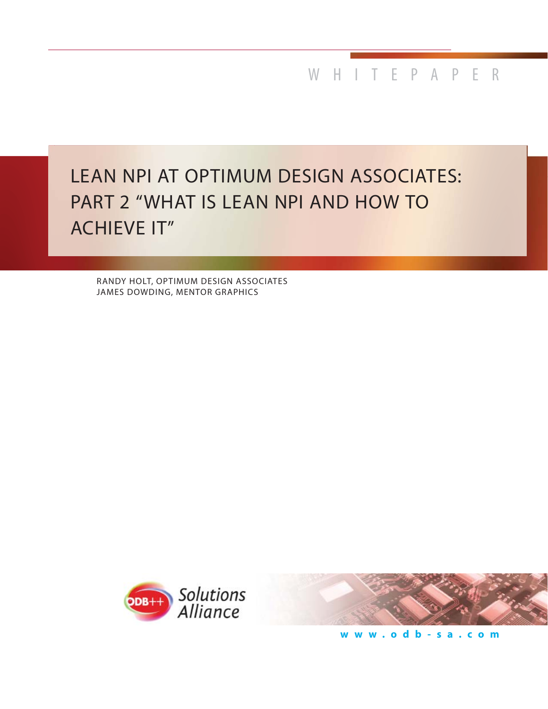WHITEPAPER

# LEAN NPI AT OPTIMUM DESIGN ASSOCIATES: PART 2 "WHAT IS LEAN NPI AND HOW TO ACHIEVE IT"

RANDY HOLT, OPTIMUM DESIGN ASSOCIATES JAMES DOWDING, MENTOR GRAPHICS





**www.odb-sa.com**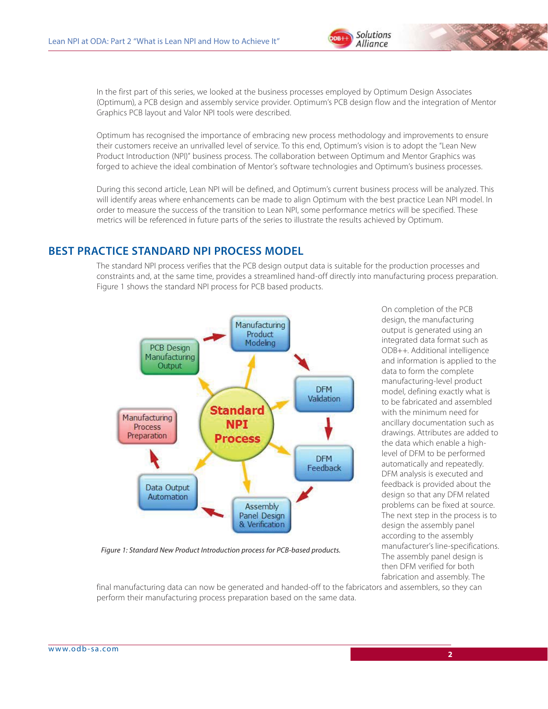

In the first part of this series, we looked at the business processes employed by Optimum Design Associates (Optimum), a PCB design and assembly service provider. Optimum's PCB design flow and the integration of Mentor Graphics PCB layout and Valor NPI tools were described.

Optimum has recognised the importance of embracing new process methodology and improvements to ensure their customers receive an unrivalled level of service. To this end, Optimum's vision is to adopt the "Lean New Product Introduction (NPI)" business process. The collaboration between Optimum and Mentor Graphics was forged to achieve the ideal combination of Mentor's software technologies and Optimum's business processes.

During this second article, Lean NPI will be defined, and Optimum's current business process will be analyzed. This will identify areas where enhancements can be made to align Optimum with the best practice Lean NPI model. In order to measure the success of the transition to Lean NPI, some performance metrics will be specified. These metrics will be referenced in future parts of the series to illustrate the results achieved by Optimum.

#### **BEST PRACTICE STANDARD NPI PROCESS MODEL**

The standard NPI process verifies that the PCB design output data is suitable for the production processes and constraints and, at the same time, provides a streamlined hand-off directly into manufacturing process preparation. Figure 1 shows the standard NPI process for PCB based products.



*Figure 1: Standard New Product Introduction process for PCB-based products.*

On completion of the PCB design, the manufacturing output is generated using an integrated data format such as ODB++. Additional intelligence and information is applied to the data to form the complete manufacturing-level product model, defining exactly what is to be fabricated and assembled with the minimum need for ancillary documentation such as drawings. Attributes are added to the data which enable a highlevel of DFM to be performed automatically and repeatedly. DFM analysis is executed and feedback is provided about the design so that any DFM related problems can be fixed at source. The next step in the process is to design the assembly panel according to the assembly manufacturer's line-specifications. The assembly panel design is then DFM verified for both fabrication and assembly. The

final manufacturing data can now be generated and handed-off to the fabricators and assemblers, so they can perform their manufacturing process preparation based on the same data.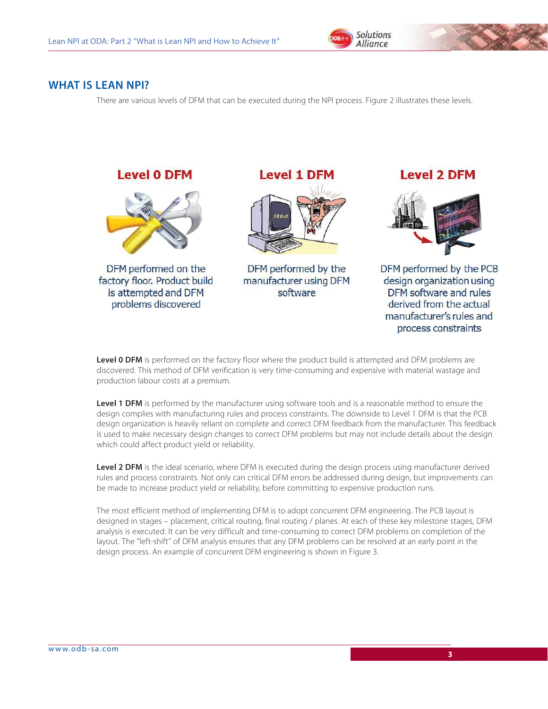

#### **WHAT IS LEAN NPI?**

There are various levels of DFM that can be executed during the NPI process. Figure 2 illustrates these levels.



is attempted and DFM problems discovered

**Level 1 DFM** 



DFM performed by the manufacturer using DFM software

## **Level 2 DFM**



DFM performed by the PCB design organization using DFM software and rules derived from the actual manufacturer's rules and process constraints

Level 0 DFM is performed on the factory floor where the product build is attempted and DFM problems are discovered. This method of DFM verification is very time-consuming and expensive with material wastage and production labour costs at a premium.

**Level 1 DFM** is performed by the manufacturer using software tools and is a reasonable method to ensure the design complies with manufacturing rules and process constraints. The downside to Level 1 DFM is that the PCB design organization is heavily reliant on complete and correct DFM feedback from the manufacturer. This feedback is used to make necessary design changes to correct DFM problems but may not include details about the design which could affect product yield or reliability.

**Level 2 DFM** is the ideal scenario, where DFM is executed during the design process using manufacturer derived rules and process constraints. Not only can critical DFM errors be addressed during design, but improvements can be made to increase product yield or reliability, before committing to expensive production runs.

The most efficient method of implementing DFM is to adopt concurrent DFM engineering. The PCB layout is designed in stages – placement, critical routing, final routing / planes. At each of these key milestone stages, DFM analysis is executed. It can be very difficult and time-consuming to correct DFM problems on completion of the layout. The "left-shift" of DFM analysis ensures that any DFM problems can be resolved at an early point in the design process. An example of concurrent DFM engineering is shown in Figure 3.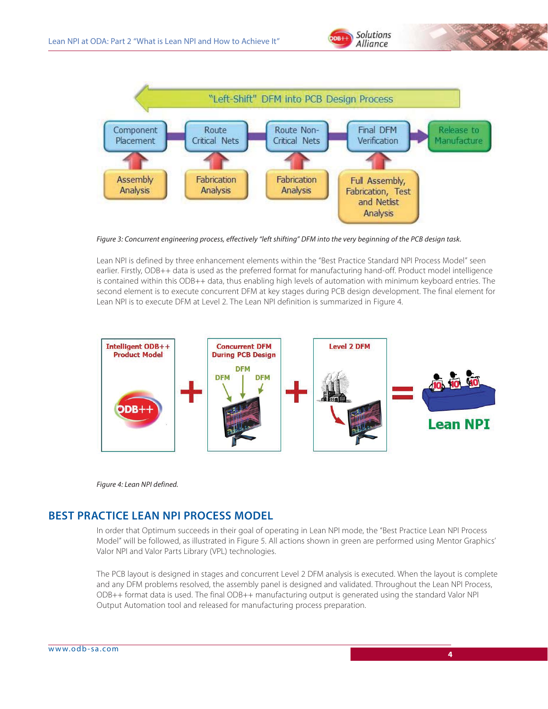



*Figure 3: Concurrent engineering process, effectively "left shifting" DFM into the very beginning of the PCB design task.*

Lean NPI is defined by three enhancement elements within the "Best Practice Standard NPI Process Model" seen earlier. Firstly, ODB++ data is used as the preferred format for manufacturing hand-off. Product model intelligence is contained within this ODB++ data, thus enabling high levels of automation with minimum keyboard entries. The second element is to execute concurrent DFM at key stages during PCB design development. The final element for Lean NPI is to execute DFM at Level 2. The Lean NPI definition is summarized in Figure 4.





## **BEST PRACTICE LEAN NPI PROCESS MODEL**

In order that Optimum succeeds in their goal of operating in Lean NPI mode, the "Best Practice Lean NPI Process Model" will be followed, as illustrated in Figure 5. All actions shown in green are performed using Mentor Graphics' Valor NPI and Valor Parts Library (VPL) technologies.

The PCB layout is designed in stages and concurrent Level 2 DFM analysis is executed. When the layout is complete and any DFM problems resolved, the assembly panel is designed and validated. Throughout the Lean NPI Process, ODB++ format data is used. The final ODB++ manufacturing output is generated using the standard Valor NPI Output Automation tool and released for manufacturing process preparation.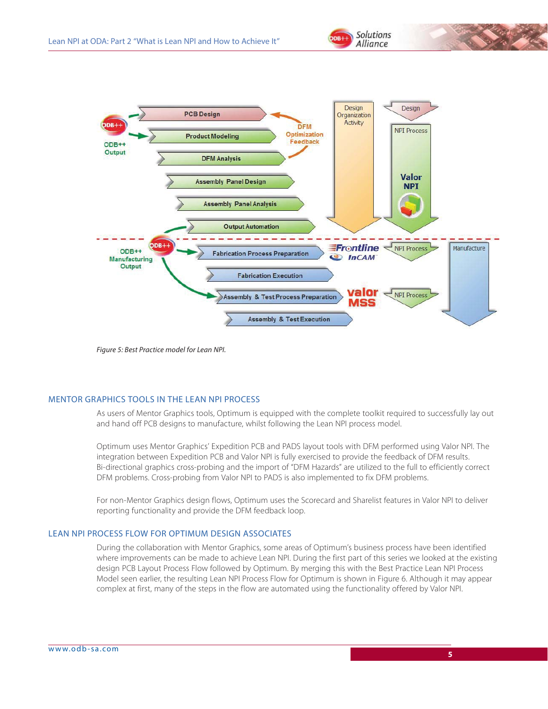

*Figure 5: Best Practice model for Lean NPI.*

#### MENTOR GRAPHICS TOOLS IN THE LEAN NPI PROCESS

As users of Mentor Graphics tools, Optimum is equipped with the complete toolkit required to successfully lay out and hand off PCB designs to manufacture, whilst following the Lean NPI process model.

Optimum uses Mentor Graphics' Expedition PCB and PADS layout tools with DFM performed using Valor NPI. The integration between Expedition PCB and Valor NPI is fully exercised to provide the feedback of DFM results. Bi-directional graphics cross-probing and the import of "DFM Hazards" are utilized to the full to efficiently correct DFM problems. Cross-probing from Valor NPI to PADS is also implemented to fix DFM problems.

For non-Mentor Graphics design flows, Optimum uses the Scorecard and Sharelist features in Valor NPI to deliver reporting functionality and provide the DFM feedback loop.

#### LEAN NPI PROCESS FLOW FOR OPTIMUM DESIGN ASSOCIATES

During the collaboration with Mentor Graphics, some areas of Optimum's business process have been identified where improvements can be made to achieve Lean NPI. During the first part of this series we looked at the existing design PCB Layout Process Flow followed by Optimum. By merging this with the Best Practice Lean NPI Process Model seen earlier, the resulting Lean NPI Process Flow for Optimum is shown in Figure 6. Although it may appear complex at first, many of the steps in the flow are automated using the functionality offered by Valor NPI.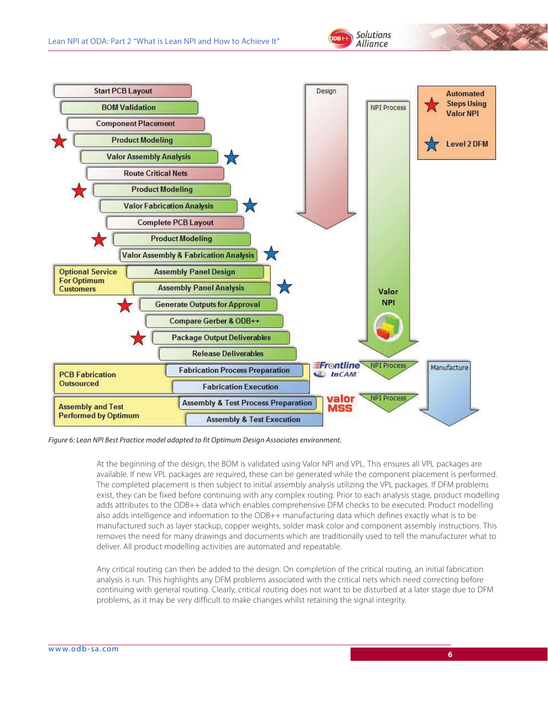





*Figure 6: Lean NPI Best Practice model adapted to fit Optimum Design Associates environment.*

At the beginning of the design, the BOM is validated using Valor NPI and VPL. This ensures all VPL packages are available. If new VPL packages are required, these can be generated while the component placement is performed. The completed placement is then subject to initial assembly analysis utilizing the VPL packages. If DFM problems exist, they can be fixed before continuing with any complex routing. Prior to each analysis stage, product modelling adds attributes to the ODB++ data which enables comprehensive DFM checks to be executed. Product modelling also adds intelligence and information to the ODB++ manufacturing data which defines exactly what is to be manufactured such as layer stackup, copper weights, solder mask color and component assembly instructions. This removes the need for many drawings and documents which are traditionally used to tell the manufacturer what to deliver. All product modelling activities are automated and repeatable.

Any critical routing can then be added to the design. On completion of the critical routing, an initial fabrication analysis is run. This highlights any DFM problems associated with the critical nets which need correcting before continuing with general routing. Clearly, critical routing does not want to be disturbed at a later stage due to DFM problems, as it may be very difficult to make changes whilst retaining the signal integrity.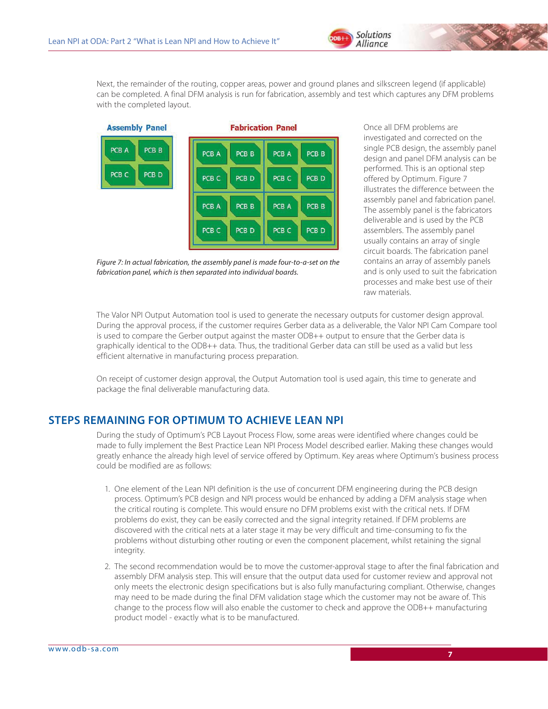

Next, the remainder of the routing, copper areas, power and ground planes and silkscreen legend (if applicable) can be completed. A final DFM analysis is run for fabrication, assembly and test which captures any DFM problems with the completed layout.



*Figure 7: In actual fabrication, the assembly panel is made four-to-a-set on the fabrication panel, which is then separated into individual boards.*

Once all DFM problems are investigated and corrected on the single PCB design, the assembly panel design and panel DFM analysis can be performed. This is an optional step offered by Optimum. Figure 7 illustrates the difference between the assembly panel and fabrication panel. The assembly panel is the fabricators deliverable and is used by the PCB assemblers. The assembly panel usually contains an array of single circuit boards. The fabrication panel contains an array of assembly panels and is only used to suit the fabrication processes and make best use of their raw materials.

The Valor NPI Output Automation tool is used to generate the necessary outputs for customer design approval. During the approval process, if the customer requires Gerber data as a deliverable, the Valor NPI Cam Compare tool is used to compare the Gerber output against the master ODB++ output to ensure that the Gerber data is graphically identical to the ODB++ data. Thus, the traditional Gerber data can still be used as a valid but less efficient alternative in manufacturing process preparation.

On receipt of customer design approval, the Output Automation tool is used again, this time to generate and package the final deliverable manufacturing data.

### **STEPS REMAINING FOR OPTIMUM TO ACHIEVE LEAN NPI**

During the study of Optimum's PCB Layout Process Flow, some areas were identified where changes could be made to fully implement the Best Practice Lean NPI Process Model described earlier. Making these changes would greatly enhance the already high level of service offered by Optimum. Key areas where Optimum's business process could be modified are as follows:

- 1. One element of the Lean NPI definition is the use of concurrent DFM engineering during the PCB design process. Optimum's PCB design and NPI process would be enhanced by adding a DFM analysis stage when the critical routing is complete. This would ensure no DFM problems exist with the critical nets. If DFM problems do exist, they can be easily corrected and the signal integrity retained. If DFM problems are discovered with the critical nets at a later stage it may be very difficult and time-consuming to fix the problems without disturbing other routing or even the component placement, whilst retaining the signal integrity.
- 2. The second recommendation would be to move the customer-approval stage to after the final fabrication and assembly DFM analysis step. This will ensure that the output data used for customer review and approval not only meets the electronic design specifications but is also fully manufacturing compliant. Otherwise, changes may need to be made during the final DFM validation stage which the customer may not be aware of. This change to the process flow will also enable the customer to check and approve the ODB++ manufacturing product model - exactly what is to be manufactured.